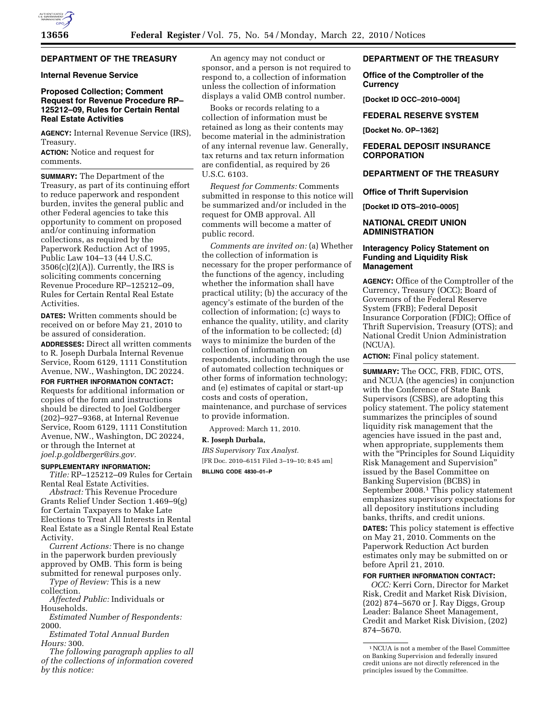# **DEPARTMENT OF THE TREASURY**

## **Internal Revenue Service**

# **Proposed Collection; Comment Request for Revenue Procedure RP– 125212–09, Rules for Certain Rental Real Estate Activities**

**AGENCY:** Internal Revenue Service (IRS), Treasury.

**ACTION:** Notice and request for comments.

**SUMMARY:** The Department of the Treasury, as part of its continuing effort to reduce paperwork and respondent burden, invites the general public and other Federal agencies to take this opportunity to comment on proposed and/or continuing information collections, as required by the Paperwork Reduction Act of 1995, Public Law 104–13 (44 U.S.C.  $3506(c)(2)(A)$ . Currently, the IRS is soliciting comments concerning Revenue Procedure RP–125212–09, Rules for Certain Rental Real Estate **Activities** 

**DATES:** Written comments should be received on or before May 21, 2010 to be assured of consideration.

**ADDRESSES:** Direct all written comments to R. Joseph Durbala Internal Revenue Service, Room 6129, 1111 Constitution Avenue, NW., Washington, DC 20224.

**FOR FURTHER INFORMATION CONTACT:**  Requests for additional information or copies of the form and instructions should be directed to Joel Goldberger (202)–927–9368, at Internal Revenue Service, Room 6129, 1111 Constitution Avenue, NW., Washington, DC 20224, or through the Internet at *joel.p.goldberger@irs.gov.* 

### **SUPPLEMENTARY INFORMATION:**

*Title:* RP–125212–09 Rules for Certain Rental Real Estate Activities.

*Abstract:* This Revenue Procedure Grants Relief Under Section 1.469–9(g) for Certain Taxpayers to Make Late Elections to Treat All Interests in Rental Real Estate as a Single Rental Real Estate Activity.

*Current Actions:* There is no change in the paperwork burden previously approved by OMB. This form is being submitted for renewal purposes only.

*Type of Review:* This is a new collection.

*Affected Public:* Individuals or Households.

*Estimated Number of Respondents:*  2000.

*Estimated Total Annual Burden Hours:* 300.

*The following paragraph applies to all of the collections of information covered by this notice:* 

An agency may not conduct or sponsor, and a person is not required to respond to, a collection of information unless the collection of information displays a valid OMB control number.

Books or records relating to a collection of information must be retained as long as their contents may become material in the administration of any internal revenue law. Generally, tax returns and tax return information are confidential, as required by 26 U.S.C. 6103.

*Request for Comments:* Comments submitted in response to this notice will be summarized and/or included in the request for OMB approval. All comments will become a matter of public record.

*Comments are invited on:* (a) Whether the collection of information is necessary for the proper performance of the functions of the agency, including whether the information shall have practical utility; (b) the accuracy of the agency's estimate of the burden of the collection of information; (c) ways to enhance the quality, utility, and clarity of the information to be collected; (d) ways to minimize the burden of the collection of information on respondents, including through the use of automated collection techniques or other forms of information technology; and (e) estimates of capital or start-up costs and costs of operation, maintenance, and purchase of services to provide information.

Approved: March 11, 2010.

# **R. Joseph Durbala,**

*IRS Supervisory Tax Analyst.*  [FR Doc. 2010–6151 Filed 3–19–10; 8:45 am] **BILLING CODE 4830–01–P** 

### **DEPARTMENT OF THE TREASURY**

# **Office of the Comptroller of the Currency**

**[Docket ID OCC–2010–0004]** 

**FEDERAL RESERVE SYSTEM** 

**[Docket No. OP–1362]** 

# **FEDERAL DEPOSIT INSURANCE CORPORATION**

# **DEPARTMENT OF THE TREASURY**

**Office of Thrift Supervision** 

**[Docket ID OTS–2010–0005]** 

# **NATIONAL CREDIT UNION ADMINISTRATION**

### **Interagency Policy Statement on Funding and Liquidity Risk Management**

**AGENCY:** Office of the Comptroller of the Currency, Treasury (OCC); Board of Governors of the Federal Reserve System (FRB); Federal Deposit Insurance Corporation (FDIC); Office of Thrift Supervision, Treasury (OTS); and National Credit Union Administration (NCUA).

**ACTION:** Final policy statement.

**SUMMARY:** The OCC, FRB, FDIC, OTS, and NCUA (the agencies) in conjunction with the Conference of State Bank Supervisors (CSBS), are adopting this policy statement. The policy statement summarizes the principles of sound liquidity risk management that the agencies have issued in the past and, when appropriate, supplements them with the "Principles for Sound Liquidity" Risk Management and Supervision'' issued by the Basel Committee on Banking Supervision (BCBS) in September 2008.1 This policy statement emphasizes supervisory expectations for all depository institutions including banks, thrifts, and credit unions.

**DATES:** This policy statement is effective on May 21, 2010. Comments on the Paperwork Reduction Act burden estimates only may be submitted on or before April 21, 2010.

**FOR FURTHER INFORMATION CONTACT:** 

*OCC:* Kerri Corn, Director for Market Risk, Credit and Market Risk Division, (202) 874–5670 or J. Ray Diggs, Group Leader: Balance Sheet Management, Credit and Market Risk Division, (202) 874–5670.

<sup>1</sup>NCUA is not a member of the Basel Committee on Banking Supervision and federally insured credit unions are not directly referenced in the principles issued by the Committee.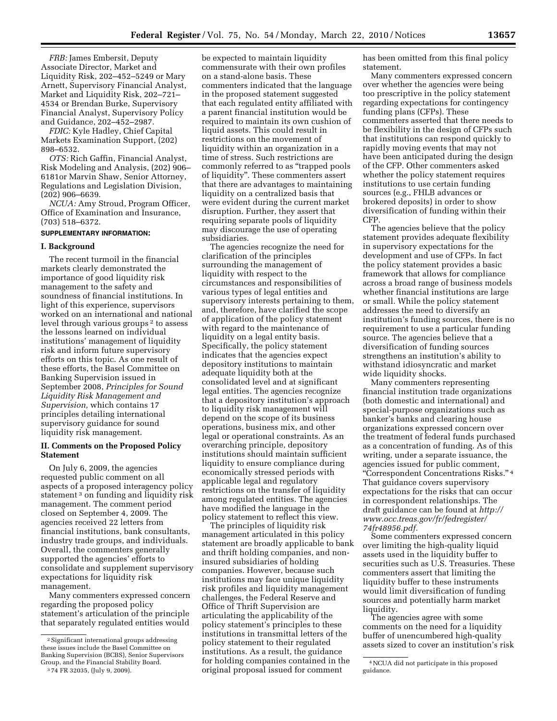*FRB:* James Embersit, Deputy Associate Director, Market and Liquidity Risk, 202–452–5249 or Mary Arnett, Supervisory Financial Analyst, Market and Liquidity Risk, 202–721– 4534 or Brendan Burke, Supervisory Financial Analyst, Supervisory Policy and Guidance, 202–452–2987.

*FDIC:* Kyle Hadley, Chief Capital Markets Examination Support, (202) 898–6532.

*OTS:* Rich Gaffin, Financial Analyst, Risk Modeling and Analysis, (202) 906– 6181or Marvin Shaw, Senior Attorney, Regulations and Legislation Division, (202) 906–6639.

*NCUA:* Amy Stroud, Program Officer, Office of Examination and Insurance, (703) 518–6372.

# **SUPPLEMENTARY INFORMATION:**

#### **I. Background**

The recent turmoil in the financial markets clearly demonstrated the importance of good liquidity risk management to the safety and soundness of financial institutions. In light of this experience, supervisors worked on an international and national level through various groups<sup>2</sup> to assess the lessons learned on individual institutions' management of liquidity risk and inform future supervisory efforts on this topic. As one result of these efforts, the Basel Committee on Banking Supervision issued in September 2008, *Principles for Sound Liquidity Risk Management and Supervision,* which contains 17 principles detailing international supervisory guidance for sound liquidity risk management.

# **II. Comments on the Proposed Policy Statement**

On July 6, 2009, the agencies requested public comment on all aspects of a proposed interagency policy statement<sup>3</sup> on funding and liquidity risk management. The comment period closed on September 4, 2009. The agencies received 22 letters from financial institutions, bank consultants, industry trade groups, and individuals. Overall, the commenters generally supported the agencies' efforts to consolidate and supplement supervisory expectations for liquidity risk management.

Many commenters expressed concern regarding the proposed policy statement's articulation of the principle that separately regulated entities would

be expected to maintain liquidity commensurate with their own profiles on a stand-alone basis. These commenters indicated that the language in the proposed statement suggested that each regulated entity affiliated with a parent financial institution would be required to maintain its own cushion of liquid assets. This could result in restrictions on the movement of liquidity within an organization in a time of stress. Such restrictions are commonly referred to as ''trapped pools of liquidity''. These commenters assert that there are advantages to maintaining liquidity on a centralized basis that were evident during the current market disruption. Further, they assert that requiring separate pools of liquidity may discourage the use of operating subsidiaries.

The agencies recognize the need for clarification of the principles surrounding the management of liquidity with respect to the circumstances and responsibilities of various types of legal entities and supervisory interests pertaining to them, and, therefore, have clarified the scope of application of the policy statement with regard to the maintenance of liquidity on a legal entity basis. Specifically, the policy statement indicates that the agencies expect depository institutions to maintain adequate liquidity both at the consolidated level and at significant legal entities. The agencies recognize that a depository institution's approach to liquidity risk management will depend on the scope of its business operations, business mix, and other legal or operational constraints. As an overarching principle, depository institutions should maintain sufficient liquidity to ensure compliance during economically stressed periods with applicable legal and regulatory restrictions on the transfer of liquidity among regulated entities. The agencies have modified the language in the policy statement to reflect this view.

The principles of liquidity risk management articulated in this policy statement are broadly applicable to bank and thrift holding companies, and noninsured subsidiaries of holding companies. However, because such institutions may face unique liquidity risk profiles and liquidity management challenges, the Federal Reserve and Office of Thrift Supervision are articulating the applicability of the policy statement's principles to these institutions in transmittal letters of the policy statement to their regulated institutions. As a result, the guidance for holding companies contained in the original proposal issued for comment

has been omitted from this final policy statement.

Many commenters expressed concern over whether the agencies were being too prescriptive in the policy statement regarding expectations for contingency funding plans (CFPs). These commenters asserted that there needs to be flexibility in the design of CFPs such that institutions can respond quickly to rapidly moving events that may not have been anticipated during the design of the CFP. Other commenters asked whether the policy statement requires institutions to use certain funding sources (e.g., FHLB advances or brokered deposits) in order to show diversification of funding within their CFP.

The agencies believe that the policy statement provides adequate flexibility in supervisory expectations for the development and use of CFPs. In fact the policy statement provides a basic framework that allows for compliance across a broad range of business models whether financial institutions are large or small. While the policy statement addresses the need to diversify an institution's funding sources, there is no requirement to use a particular funding source. The agencies believe that a diversification of funding sources strengthens an institution's ability to withstand idiosyncratic and market wide liquidity shocks.

Many commenters representing financial institution trade organizations (both domestic and international) and special-purpose organizations such as banker's banks and clearing house organizations expressed concern over the treatment of federal funds purchased as a concentration of funding. As of this writing, under a separate issuance, the agencies issued for public comment, ''Correspondent Concentrations Risks.'' 4 That guidance covers supervisory expectations for the risks that can occur in correspondent relationships. The draft guidance can be found at *http:// www.occ.treas.gov/fr/fedregister/ 74fr48956.pdf.* 

Some commenters expressed concern over limiting the high-quality liquid assets used in the liquidity buffer to securities such as U.S. Treasuries. These commenters assert that limiting the liquidity buffer to these instruments would limit diversification of funding sources and potentially harm market liquidity.

The agencies agree with some comments on the need for a liquidity buffer of unencumbered high-quality assets sized to cover an institution's risk

<sup>2</sup>Significant international groups addressing these issues include the Basel Committee on Banking Supervision (BCBS), Senior Supervisors Group, and the Financial Stability Board. 3 74 FR 32035, (July 9, 2009).

<sup>4</sup>NCUA did not participate in this proposed guidance.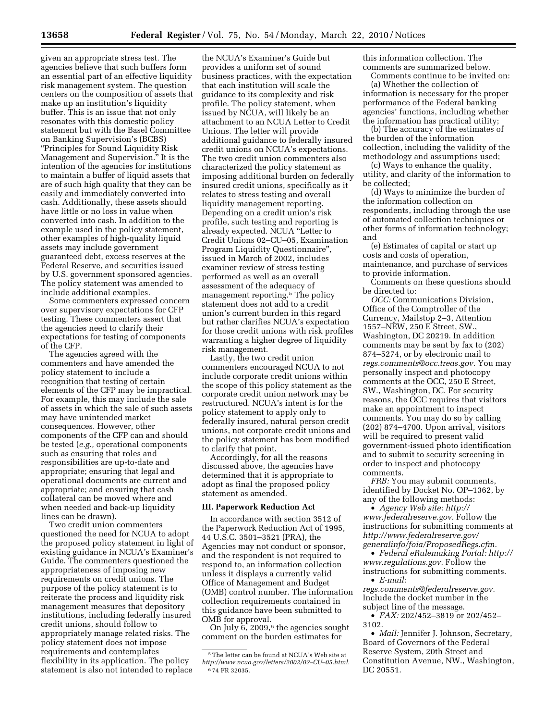given an appropriate stress test. The agencies believe that such buffers form an essential part of an effective liquidity risk management system. The question centers on the composition of assets that make up an institution's liquidity buffer. This is an issue that not only resonates with this domestic policy statement but with the Basel Committee on Banking Supervision's (BCBS) ''Principles for Sound Liquidity Risk Management and Supervision.'' It is the intention of the agencies for institutions to maintain a buffer of liquid assets that are of such high quality that they can be easily and immediately converted into cash. Additionally, these assets should have little or no loss in value when converted into cash. In addition to the example used in the policy statement, other examples of high-quality liquid assets may include government guaranteed debt, excess reserves at the Federal Reserve, and securities issued by U.S. government sponsored agencies. The policy statement was amended to include additional examples.

Some commenters expressed concern over supervisory expectations for CFP testing. These commenters assert that the agencies need to clarify their expectations for testing of components of the CFP.

The agencies agreed with the commenters and have amended the policy statement to include a recognition that testing of certain elements of the CFP may be impractical. For example, this may include the sale of assets in which the sale of such assets may have unintended market consequences. However, other components of the CFP can and should be tested (*e.g.,* operational components such as ensuring that roles and responsibilities are up-to-date and appropriate; ensuring that legal and operational documents are current and appropriate; and ensuring that cash collateral can be moved where and when needed and back-up liquidity lines can be drawn).

Two credit union commenters questioned the need for NCUA to adopt the proposed policy statement in light of existing guidance in NCUA's Examiner's Guide. The commenters questioned the appropriateness of imposing new requirements on credit unions. The purpose of the policy statement is to reiterate the process and liquidity risk management measures that depository institutions, including federally insured credit unions, should follow to appropriately manage related risks. The policy statement does not impose requirements and contemplates flexibility in its application. The policy statement is also not intended to replace

the NCUA's Examiner's Guide but provides a uniform set of sound business practices, with the expectation that each institution will scale the guidance to its complexity and risk profile. The policy statement, when issued by NCUA, will likely be an attachment to an NCUA Letter to Credit Unions. The letter will provide additional guidance to federally insured credit unions on NCUA's expectations. The two credit union commenters also characterized the policy statement as imposing additional burden on federally insured credit unions, specifically as it relates to stress testing and overall liquidity management reporting. Depending on a credit union's risk profile, such testing and reporting is already expected. NCUA ''Letter to Credit Unions 02–CU–05, Examination Program Liquidity Questionnaire'', issued in March of 2002, includes examiner review of stress testing performed as well as an overall assessment of the adequacy of management reporting.5 The policy statement does not add to a credit union's current burden in this regard but rather clarifies NCUA's expectation for those credit unions with risk profiles warranting a higher degree of liquidity risk management.

Lastly, the two credit union commenters encouraged NCUA to not include corporate credit unions within the scope of this policy statement as the corporate credit union network may be restructured. NCUA's intent is for the policy statement to apply only to federally insured, natural person credit unions, not corporate credit unions and the policy statement has been modified to clarify that point.

Accordingly, for all the reasons discussed above, the agencies have determined that it is appropriate to adopt as final the proposed policy statement as amended.

### **III. Paperwork Reduction Act**

In accordance with section 3512 of the Paperwork Reduction Act of 1995, 44 U.S.C. 3501–3521 (PRA), the Agencies may not conduct or sponsor, and the respondent is not required to respond to, an information collection unless it displays a currently valid Office of Management and Budget (OMB) control number. The information collection requirements contained in this guidance have been submitted to OMB for approval.

On July  $6, 2009, 6$  the agencies sought comment on the burden estimates for

this information collection. The comments are summarized below.

Comments continue to be invited on: (a) Whether the collection of information is necessary for the proper performance of the Federal banking agencies' functions, including whether the information has practical utility;

(b) The accuracy of the estimates of the burden of the information collection, including the validity of the methodology and assumptions used;

(c) Ways to enhance the quality, utility, and clarity of the information to be collected;

(d) Ways to minimize the burden of the information collection on respondents, including through the use of automated collection techniques or other forms of information technology; and

(e) Estimates of capital or start up costs and costs of operation, maintenance, and purchase of services to provide information.

Comments on these questions should be directed to:

*OCC:* Communications Division, Office of the Comptroller of the Currency, Mailstop 2–3, Attention 1557–NEW, 250 E Street, SW., Washington, DC 20219. In addition comments may be sent by fax to (202) 874–5274, or by electronic mail to *regs.comments@occ.treas.gov.* You may personally inspect and photocopy comments at the OCC, 250 E Street, SW., Washington, DC. For security reasons, the OCC requires that visitors make an appointment to inspect comments. You may do so by calling (202) 874–4700. Upon arrival, visitors will be required to present valid government-issued photo identification and to submit to security screening in order to inspect and photocopy comments.

*FRB:* You may submit comments, identified by Docket No. OP–1362, by any of the following methods:

• *Agency Web site: http:// www.federalreserve.gov.* Follow the instructions for submitting comments at *http://www.federalreserve.gov/ generalinfo/foia/ProposedRegs.cfm.* 

• *Federal eRulemaking Portal: http:// www.regulations.gov.* Follow the instructions for submitting comments.

• *E-mail:* 

*regs.comments@federalreserve.gov.*  Include the docket number in the subject line of the message.

• *FAX:* 202/452–3819 or 202/452– 3102.

• *Mail:* Jennifer J. Johnson, Secretary, Board of Governors of the Federal Reserve System, 20th Street and Constitution Avenue, NW., Washington, DC 20551.

 $^{\rm 5}$  The letter can be found at NCUA's Web site at *http://www.ncua.gov/letters/2002/02–CU–05.html.*  6 74 FR 32035.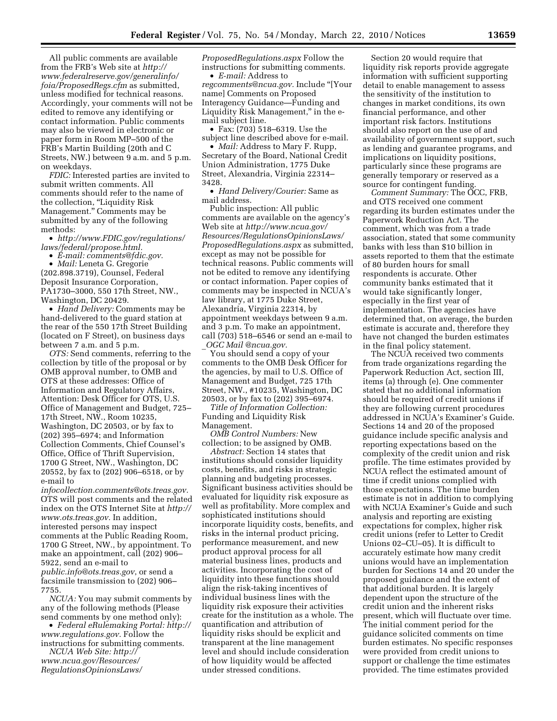All public comments are available from the FRB's Web site at *http:// www.federalreserve.gov/generalinfo/ foia/ProposedRegs.cfm* as submitted, unless modified for technical reasons. Accordingly, your comments will not be edited to remove any identifying or contact information. Public comments may also be viewed in electronic or paper form in Room MP–500 of the FRB's Martin Building (20th and C Streets, NW.) between 9 a.m. and 5 p.m. on weekdays.

*FDIC:* Interested parties are invited to submit written comments. All comments should refer to the name of the collection, ''Liquidity Risk Management.'' Comments may be submitted by any of the following methods:

• *http://www.FDIC.gov/regulations/ laws/federal/propose.html.* 

• *E-mail: comments@fdic.gov.* 

• *Mail:* Leneta G. Gregorie (202.898.3719), Counsel, Federal Deposit Insurance Corporation, PA1730–3000, 550 17th Street, NW., Washington, DC 20429.

• *Hand Delivery:* Comments may be hand-delivered to the guard station at the rear of the 550 17th Street Building (located on F Street), on business days between 7 a.m. and 5 p.m.

*OTS:* Send comments, referring to the collection by title of the proposal or by OMB approval number, to OMB and OTS at these addresses: Office of Information and Regulatory Affairs, Attention: Desk Officer for OTS, U.S. Office of Management and Budget, 725– 17th Street, NW., Room 10235, Washington, DC 20503, or by fax to (202) 395–6974; and Information Collection Comments, Chief Counsel's Office, Office of Thrift Supervision, 1700 G Street, NW., Washington, DC 20552, by fax to (202) 906–6518, or by e-mail to

*infocollection.comments@ots.treas.gov.*  OTS will post comments and the related index on the OTS Internet Site at *http:// www.ots.treas.gov.* In addition, interested persons may inspect comments at the Public Reading Room, 1700 G Street, NW., by appointment. To make an appointment, call (202) 906– 5922, send an e-mail to *public.info@ots.treas.gov*, or send a facsimile transmission to (202) 906– 7755.

*NCUA:* You may submit comments by any of the following methods (Please send comments by one method only):

• *Federal eRulemaking Portal: http:// www.regulations.gov.* Follow the instructions for submitting comments.

*NCUA Web Site: http:// www.ncua.gov/Resources/ RegulationsOpinionsLaws/*  *ProposedRegulations.aspx* Follow the instructions for submitting comments.

• *E-mail:* Address to *regcomments@ncua.gov.* Include ''[Your name] Comments on Proposed Interagency Guidance—Funding and Liquidity Risk Management,'' in the email subject line.

• Fax: (703) 518–6319. Use the subject line described above for e-mail.

• *Mail:* Address to Mary F. Rupp, Secretary of the Board, National Credit Union Administration, 1775 Duke Street, Alexandria, Virginia 22314– 3428.

• *Hand Delivery/Courier:* Same as mail address.

Public inspection: All public comments are available on the agency's Web site at *http://www.ncua.gov/ Resources/RegulationsOpinionsLaws/ ProposedRegulations.aspx* as submitted, except as may not be possible for technical reasons. Public comments will not be edited to remove any identifying or contact information. Paper copies of comments may be inspected in NCUA's law library, at 1775 Duke Street, Alexandria, Virginia 22314, by appointment weekdays between 9 a.m. and 3 p.m. To make an appointment, call (703) 518–6546 or send an e-mail to \_*OGC Mail @ncua.gov.* 

You should send a copy of your comments to the OMB Desk Officer for the agencies, by mail to U.S. Office of Management and Budget, 725 17th Street, NW., #10235, Washington, DC 20503, or by fax to (202) 395–6974.

*Title of Information Collection:*  Funding and Liquidity Risk Management.

*OMB Control Numbers:* New collection; to be assigned by OMB.

*Abstract:* Section 14 states that institutions should consider liquidity costs, benefits, and risks in strategic planning and budgeting processes. Significant business activities should be evaluated for liquidity risk exposure as well as profitability. More complex and sophisticated institutions should incorporate liquidity costs, benefits, and risks in the internal product pricing, performance measurement, and new product approval process for all material business lines, products and activities. Incorporating the cost of liquidity into these functions should align the risk-taking incentives of individual business lines with the liquidity risk exposure their activities create for the institution as a whole. The quantification and attribution of liquidity risks should be explicit and transparent at the line management level and should include consideration of how liquidity would be affected under stressed conditions.

Section 20 would require that liquidity risk reports provide aggregate information with sufficient supporting detail to enable management to assess the sensitivity of the institution to changes in market conditions, its own financial performance, and other important risk factors. Institutions should also report on the use of and availability of government support, such as lending and guarantee programs, and implications on liquidity positions, particularly since these programs are generally temporary or reserved as a source for contingent funding.

*Comment Summary:* The OCC, FRB, and OTS received one comment regarding its burden estimates under the Paperwork Reduction Act. The comment, which was from a trade association, stated that some community banks with less than \$10 billion in assets reported to them that the estimate of 80 burden hours for small respondents is accurate. Other community banks estimated that it would take significantly longer, especially in the first year of implementation. The agencies have determined that, on average, the burden estimate is accurate and, therefore they have not changed the burden estimates in the final policy statement.

The NCUA received two comments from trade organizations regarding the Paperwork Reduction Act, section III, items (a) through (e). One commenter stated that no additional information should be required of credit unions if they are following current procedures addressed in NCUA's Examiner's Guide. Sections 14 and 20 of the proposed guidance include specific analysis and reporting expectations based on the complexity of the credit union and risk profile. The time estimates provided by NCUA reflect the estimated amount of time if credit unions complied with those expectations. The time burden estimate is not in addition to complying with NCUA Examiner's Guide and such analysis and reporting are existing expectations for complex, higher risk credit unions (refer to Letter to Credit Unions 02–CU–05). It is difficult to accurately estimate how many credit unions would have an implementation burden for Sections 14 and 20 under the proposed guidance and the extent of that additional burden. It is largely dependent upon the structure of the credit union and the inherent risks present, which will fluctuate over time. The initial comment period for the guidance solicited comments on time burden estimates. No specific responses were provided from credit unions to support or challenge the time estimates provided. The time estimates provided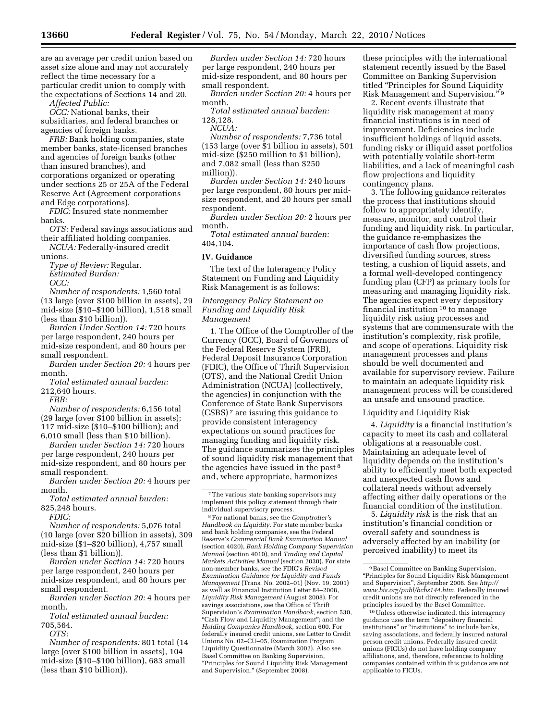are an average per credit union based on asset size alone and may not accurately reflect the time necessary for a particular credit union to comply with the expectations of Sections 14 and 20.

*Affected Public:* 

*OCC:* National banks, their subsidiaries, and federal branches or agencies of foreign banks.

*FRB:* Bank holding companies, state member banks, state-licensed branches and agencies of foreign banks (other than insured branches), and corporations organized or operating under sections 25 or 25A of the Federal Reserve Act (Agreement corporations and Edge corporations).

*FDIC:* Insured state nonmember banks.

*OTS:* Federal savings associations and their affiliated holding companies.

*NCUA:* Federally-insured credit unions.

*Type of Review:* Regular. *Estimated Burden: OCC:* 

*Number of respondents:* 1,560 total (13 large (over \$100 billion in assets), 29 mid-size (\$10–\$100 billion), 1,518 small (less than \$10 billion)).

*Burden Under Section 14:* 720 hours per large respondent, 240 hours per mid-size respondent, and 80 hours per small respondent.

*Burden under Section 20:* 4 hours per month.

*Total estimated annual burden:*  212,640 hours.

*FRB:* 

*Number of respondents:* 6,156 total (29 large (over \$100 billion in assets); 117 mid-size (\$10–\$100 billion); and 6,010 small (less than \$10 billion).

*Burden under Section 14:* 720 hours per large respondent, 240 hours per mid-size respondent, and 80 hours per small respondent.

*Burden under Section 20:* 4 hours per month.

*Total estimated annual burden:*  825,248 hours.

*FDIC:* 

*Number of respondents:* 5,076 total (10 large (over \$20 billion in assets), 309 mid-size (\$1–\$20 billion), 4,757 small (less than \$1 billion)).

*Burden under Section 14:* 720 hours per large respondent, 240 hours per mid-size respondent, and 80 hours per small respondent.

*Burden under Section 20:* 4 hours per month.

*Total estimated annual burden:*  705,564.

*OTS:* 

*Number of respondents:* 801 total (14 large (over \$100 billion in assets), 104 mid-size (\$10–\$100 billion), 683 small (less than \$10 billion)).

*Burden under Section 14:* 720 hours per large respondent, 240 hours per mid-size respondent, and 80 hours per small respondent.

*Burden under Section 20:* 4 hours per month.

*Total estimated annual burden:* 

128,128. *NCUA:* 

*Number of respondents:* 7,736 total (153 large (over \$1 billion in assets), 501 mid-size (\$250 million to \$1 billion), and 7,082 small (less than \$250 million)).

*Burden under Section 14:* 240 hours per large respondent, 80 hours per midsize respondent, and 20 hours per small respondent.

*Burden under Section 20:* 2 hours per month.

*Total estimated annual burden:*  404,104.

### **IV. Guidance**

The text of the Interagency Policy Statement on Funding and Liquidity Risk Management is as follows:

*Interagency Policy Statement on Funding and Liquidity Risk Management* 

1. The Office of the Comptroller of the Currency (OCC), Board of Governors of the Federal Reserve System (FRB), Federal Deposit Insurance Corporation (FDIC), the Office of Thrift Supervision (OTS), and the National Credit Union Administration (NCUA) (collectively, the agencies) in conjunction with the Conference of State Bank Supervisors (CSBS) 7 are issuing this guidance to provide consistent interagency expectations on sound practices for managing funding and liquidity risk. The guidance summarizes the principles of sound liquidity risk management that the agencies have issued in the past 8 and, where appropriate, harmonizes

7The various state banking supervisors may implement this policy statement through their individual supervisory process.

8For national banks, see the *Comptroller's Handbook on Liquidity.* For state member banks and bank holding companies, see the Federal Reserve's *Commercial Bank Examination Manual*  (section 4020), *Bank Holding Company Supervision Manual* (section 4010), and *Trading and Capital Markets Activities Manual* (section 2030). For state non-member banks, see the FDIC's *Revised Examination Guidance for Liquidity and Funds Management* (Trans. No. 2002–01) (Nov. 19, 2001) as well as Financial Institution Letter 84–2008, *Liquidity Risk Management* (August 2008). For savings associations, see the Office of Thrift Supervision's *Examination Handbook,* section 530, ''Cash Flow and Liquidity Management''; and the *Holding Companies Handbook,* section 600. For federally insured credit unions, see Letter to Credit Unions No. 02–CU–05, Examination Program Liquidity Questionnaire (March 2002). Also see Basel Committee on Banking Supervision, ''Principles for Sound Liquidity Risk Management and Supervision,'' (September 2008).

these principles with the international statement recently issued by the Basel Committee on Banking Supervision titled ''Principles for Sound Liquidity Risk Management and Supervision.'' 9

2. Recent events illustrate that liquidity risk management at many financial institutions is in need of improvement. Deficiencies include insufficient holdings of liquid assets, funding risky or illiquid asset portfolios with potentially volatile short-term liabilities, and a lack of meaningful cash flow projections and liquidity contingency plans.

3. The following guidance reiterates the process that institutions should follow to appropriately identify, measure, monitor, and control their funding and liquidity risk. In particular, the guidance re-emphasizes the importance of cash flow projections, diversified funding sources, stress testing, a cushion of liquid assets, and a formal well-developed contingency funding plan (CFP) as primary tools for measuring and managing liquidity risk. The agencies expect every depository financial institution 10 to manage liquidity risk using processes and systems that are commensurate with the institution's complexity, risk profile, and scope of operations. Liquidity risk management processes and plans should be well documented and available for supervisory review. Failure to maintain an adequate liquidity risk management process will be considered an unsafe and unsound practice.

#### Liquidity and Liquidity Risk

4. *Liquidity* is a financial institution's capacity to meet its cash and collateral obligations at a reasonable cost. Maintaining an adequate level of liquidity depends on the institution's ability to efficiently meet both expected and unexpected cash flows and collateral needs without adversely affecting either daily operations or the financial condition of the institution.

5. *Liquidity risk* is the risk that an institution's financial condition or overall safety and soundness is adversely affected by an inability (or perceived inability) to meet its

<sup>9</sup>Basel Committee on Banking Supervision, ''Principles for Sound Liquidity Risk Management and Supervision'', September 2008. See *http:// www.bis.org/publ/bcbs144.htm.* Federally insured credit unions are not directly referenced in the principles issued by the Basel Committee.

<sup>10</sup>Unless otherwise indicated, this interagency guidance uses the term ''depository financial institutions'' or ''institutions'' to include banks, saving associations, and federally insured natural person credit unions. Federally insured credit unions (FICUs) do not have holding company affiliations, and, therefore, references to holding companies contained within this guidance are not applicable to FICUs.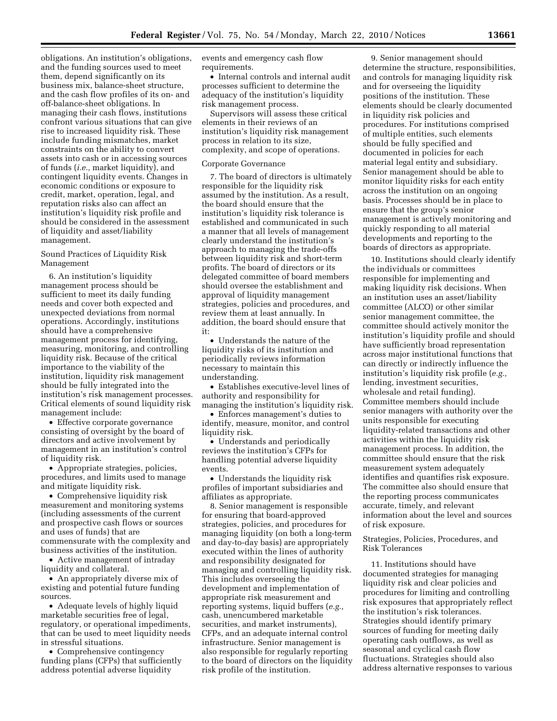obligations. An institution's obligations, and the funding sources used to meet them, depend significantly on its business mix, balance-sheet structure, and the cash flow profiles of its on- and off-balance-sheet obligations. In managing their cash flows, institutions confront various situations that can give rise to increased liquidity risk. These include funding mismatches, market constraints on the ability to convert assets into cash or in accessing sources of funds (*i.e.,* market liquidity), and contingent liquidity events. Changes in economic conditions or exposure to credit, market, operation, legal, and reputation risks also can affect an institution's liquidity risk profile and should be considered in the assessment of liquidity and asset/liability management.

Sound Practices of Liquidity Risk Management

6. An institution's liquidity management process should be sufficient to meet its daily funding needs and cover both expected and unexpected deviations from normal operations. Accordingly, institutions should have a comprehensive management process for identifying, measuring, monitoring, and controlling liquidity risk. Because of the critical importance to the viability of the institution, liquidity risk management should be fully integrated into the institution's risk management processes. Critical elements of sound liquidity risk management include:

• Effective corporate governance consisting of oversight by the board of directors and active involvement by management in an institution's control of liquidity risk.

• Appropriate strategies, policies, procedures, and limits used to manage and mitigate liquidity risk.

• Comprehensive liquidity risk measurement and monitoring systems (including assessments of the current and prospective cash flows or sources and uses of funds) that are commensurate with the complexity and business activities of the institution.

• Active management of intraday liquidity and collateral.

• An appropriately diverse mix of existing and potential future funding sources.

• Adequate levels of highly liquid marketable securities free of legal, regulatory, or operational impediments, that can be used to meet liquidity needs in stressful situations.

• Comprehensive contingency funding plans (CFPs) that sufficiently address potential adverse liquidity

events and emergency cash flow requirements.

• Internal controls and internal audit processes sufficient to determine the adequacy of the institution's liquidity risk management process.

Supervisors will assess these critical elements in their reviews of an institution's liquidity risk management process in relation to its size, complexity, and scope of operations.

#### Corporate Governance

7. The board of directors is ultimately responsible for the liquidity risk assumed by the institution. As a result, the board should ensure that the institution's liquidity risk tolerance is established and communicated in such a manner that all levels of management clearly understand the institution's approach to managing the trade-offs between liquidity risk and short-term profits. The board of directors or its delegated committee of board members should oversee the establishment and approval of liquidity management strategies, policies and procedures, and review them at least annually. In addition, the board should ensure that it:

• Understands the nature of the liquidity risks of its institution and periodically reviews information necessary to maintain this understanding.

• Establishes executive-level lines of authority and responsibility for managing the institution's liquidity risk.

• Enforces management's duties to identify, measure, monitor, and control liquidity risk.

• Understands and periodically reviews the institution's CFPs for handling potential adverse liquidity events.

• Understands the liquidity risk profiles of important subsidiaries and affiliates as appropriate.

8. Senior management is responsible for ensuring that board-approved strategies, policies, and procedures for managing liquidity (on both a long-term and day-to-day basis) are appropriately executed within the lines of authority and responsibility designated for managing and controlling liquidity risk. This includes overseeing the development and implementation of appropriate risk measurement and reporting systems, liquid buffers (*e.g.,*  cash, unencumbered marketable securities, and market instruments), CFPs, and an adequate internal control infrastructure. Senior management is also responsible for regularly reporting to the board of directors on the liquidity risk profile of the institution.

9. Senior management should determine the structure, responsibilities, and controls for managing liquidity risk and for overseeing the liquidity positions of the institution. These elements should be clearly documented in liquidity risk policies and procedures. For institutions comprised of multiple entities, such elements should be fully specified and documented in policies for each material legal entity and subsidiary. Senior management should be able to monitor liquidity risks for each entity across the institution on an ongoing basis. Processes should be in place to ensure that the group's senior management is actively monitoring and quickly responding to all material developments and reporting to the boards of directors as appropriate.

10. Institutions should clearly identify the individuals or committees responsible for implementing and making liquidity risk decisions. When an institution uses an asset/liability committee (ALCO) or other similar senior management committee, the committee should actively monitor the institution's liquidity profile and should have sufficiently broad representation across major institutional functions that can directly or indirectly influence the institution's liquidity risk profile (*e.g.,*  lending, investment securities, wholesale and retail funding). Committee members should include senior managers with authority over the units responsible for executing liquidity-related transactions and other activities within the liquidity risk management process. In addition, the committee should ensure that the risk measurement system adequately identifies and quantifies risk exposure. The committee also should ensure that the reporting process communicates accurate, timely, and relevant information about the level and sources of risk exposure.

Strategies, Policies, Procedures, and Risk Tolerances

11. Institutions should have documented strategies for managing liquidity risk and clear policies and procedures for limiting and controlling risk exposures that appropriately reflect the institution's risk tolerances. Strategies should identify primary sources of funding for meeting daily operating cash outflows, as well as seasonal and cyclical cash flow fluctuations. Strategies should also address alternative responses to various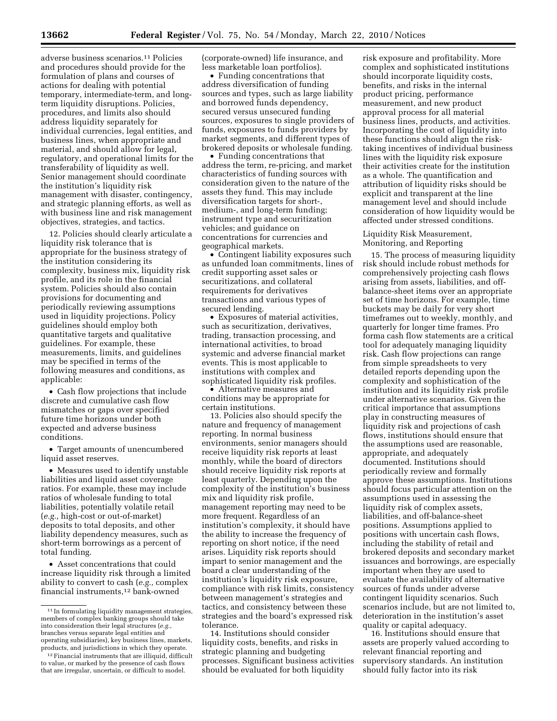adverse business scenarios.11 Policies and procedures should provide for the formulation of plans and courses of actions for dealing with potential temporary, intermediate-term, and longterm liquidity disruptions. Policies, procedures, and limits also should address liquidity separately for individual currencies, legal entities, and business lines, when appropriate and material, and should allow for legal, regulatory, and operational limits for the transferability of liquidity as well. Senior management should coordinate the institution's liquidity risk management with disaster, contingency, and strategic planning efforts, as well as with business line and risk management objectives, strategies, and tactics.

12. Policies should clearly articulate a liquidity risk tolerance that is appropriate for the business strategy of the institution considering its complexity, business mix, liquidity risk profile, and its role in the financial system. Policies should also contain provisions for documenting and periodically reviewing assumptions used in liquidity projections. Policy guidelines should employ both quantitative targets and qualitative guidelines. For example, these measurements, limits, and guidelines may be specified in terms of the following measures and conditions, as applicable:

• Cash flow projections that include discrete and cumulative cash flow mismatches or gaps over specified future time horizons under both expected and adverse business conditions.

• Target amounts of unencumbered liquid asset reserves.

• Measures used to identify unstable liabilities and liquid asset coverage ratios. For example, these may include ratios of wholesale funding to total liabilities, potentially volatile retail (*e.g.,* high-cost or out-of-market) deposits to total deposits, and other liability dependency measures, such as short-term borrowings as a percent of total funding.

• Asset concentrations that could increase liquidity risk through a limited ability to convert to cash (*e.g.,* complex financial instruments,12 bank-owned

(corporate-owned) life insurance, and less marketable loan portfolios).

• Funding concentrations that address diversification of funding sources and types, such as large liability and borrowed funds dependency, secured versus unsecured funding sources, exposures to single providers of funds, exposures to funds providers by market segments, and different types of brokered deposits or wholesale funding.

• Funding concentrations that address the term, re-pricing, and market characteristics of funding sources with consideration given to the nature of the assets they fund. This may include diversification targets for short-, medium-, and long-term funding; instrument type and securitization vehicles; and guidance on concentrations for currencies and geographical markets.

• Contingent liability exposures such as unfunded loan commitments, lines of credit supporting asset sales or securitizations, and collateral requirements for derivatives transactions and various types of secured lending.

• Exposures of material activities, such as securitization, derivatives, trading, transaction processing, and international activities, to broad systemic and adverse financial market events. This is most applicable to institutions with complex and sophisticated liquidity risk profiles.

• Alternative measures and conditions may be appropriate for certain institutions.

13. Policies also should specify the nature and frequency of management reporting. In normal business environments, senior managers should receive liquidity risk reports at least monthly, while the board of directors should receive liquidity risk reports at least quarterly. Depending upon the complexity of the institution's business mix and liquidity risk profile, management reporting may need to be more frequent. Regardless of an institution's complexity, it should have the ability to increase the frequency of reporting on short notice, if the need arises. Liquidity risk reports should impart to senior management and the board a clear understanding of the institution's liquidity risk exposure, compliance with risk limits, consistency between management's strategies and tactics, and consistency between these strategies and the board's expressed risk tolerance.

14. Institutions should consider liquidity costs, benefits, and risks in strategic planning and budgeting processes. Significant business activities should be evaluated for both liquidity

risk exposure and profitability. More complex and sophisticated institutions should incorporate liquidity costs, benefits, and risks in the internal product pricing, performance measurement, and new product approval process for all material business lines, products, and activities. Incorporating the cost of liquidity into these functions should align the risktaking incentives of individual business lines with the liquidity risk exposure their activities create for the institution as a whole. The quantification and attribution of liquidity risks should be explicit and transparent at the line management level and should include consideration of how liquidity would be affected under stressed conditions.

Liquidity Risk Measurement, Monitoring, and Reporting

15. The process of measuring liquidity risk should include robust methods for comprehensively projecting cash flows arising from assets, liabilities, and offbalance-sheet items over an appropriate set of time horizons. For example, time buckets may be daily for very short timeframes out to weekly, monthly, and quarterly for longer time frames. Pro forma cash flow statements are a critical tool for adequately managing liquidity risk. Cash flow projections can range from simple spreadsheets to very detailed reports depending upon the complexity and sophistication of the institution and its liquidity risk profile under alternative scenarios. Given the critical importance that assumptions play in constructing measures of liquidity risk and projections of cash flows, institutions should ensure that the assumptions used are reasonable, appropriate, and adequately documented. Institutions should periodically review and formally approve these assumptions. Institutions should focus particular attention on the assumptions used in assessing the liquidity risk of complex assets, liabilities, and off-balance-sheet positions. Assumptions applied to positions with uncertain cash flows, including the stability of retail and brokered deposits and secondary market issuances and borrowings, are especially important when they are used to evaluate the availability of alternative sources of funds under adverse contingent liquidity scenarios. Such scenarios include, but are not limited to, deterioration in the institution's asset quality or capital adequacy.

16. Institutions should ensure that assets are properly valued according to relevant financial reporting and supervisory standards. An institution should fully factor into its risk

<sup>11</sup> In formulating liquidity management strategies, members of complex banking groups should take into consideration their legal structures (*e.g.,*  branches versus separate legal entities and operating subsidiaries), key business lines, markets, products, and jurisdictions in which they operate.

<sup>12</sup>Financial instruments that are illiquid, difficult to value, or marked by the presence of cash flows that are irregular, uncertain, or difficult to model.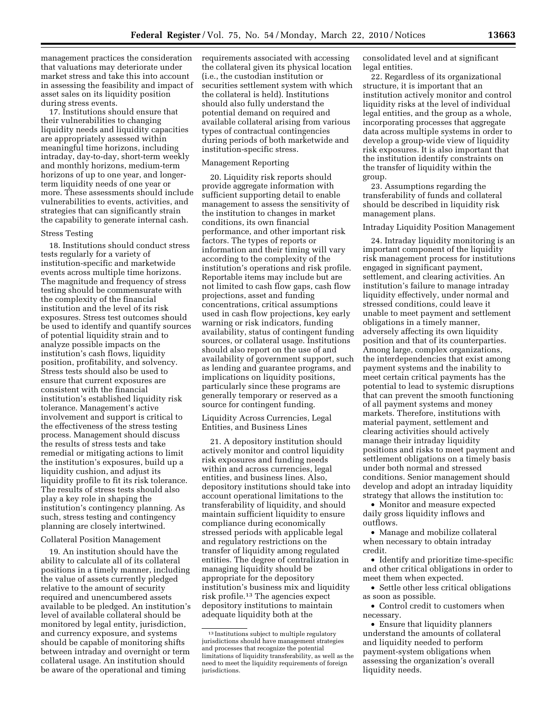management practices the consideration that valuations may deteriorate under market stress and take this into account in assessing the feasibility and impact of asset sales on its liquidity position during stress events.

17. Institutions should ensure that their vulnerabilities to changing liquidity needs and liquidity capacities are appropriately assessed within meaningful time horizons, including intraday, day-to-day, short-term weekly and monthly horizons, medium-term horizons of up to one year, and longerterm liquidity needs of one year or more. These assessments should include vulnerabilities to events, activities, and strategies that can significantly strain the capability to generate internal cash.

### Stress Testing

18. Institutions should conduct stress tests regularly for a variety of institution-specific and marketwide events across multiple time horizons. The magnitude and frequency of stress testing should be commensurate with the complexity of the financial institution and the level of its risk exposures. Stress test outcomes should be used to identify and quantify sources of potential liquidity strain and to analyze possible impacts on the institution's cash flows, liquidity position, profitability, and solvency. Stress tests should also be used to ensure that current exposures are consistent with the financial institution's established liquidity risk tolerance. Management's active involvement and support is critical to the effectiveness of the stress testing process. Management should discuss the results of stress tests and take remedial or mitigating actions to limit the institution's exposures, build up a liquidity cushion, and adjust its liquidity profile to fit its risk tolerance. The results of stress tests should also play a key role in shaping the institution's contingency planning. As such, stress testing and contingency planning are closely intertwined.

### Collateral Position Management

19. An institution should have the ability to calculate all of its collateral positions in a timely manner, including the value of assets currently pledged relative to the amount of security required and unencumbered assets available to be pledged. An institution's level of available collateral should be monitored by legal entity, jurisdiction, and currency exposure, and systems should be capable of monitoring shifts between intraday and overnight or term collateral usage. An institution should be aware of the operational and timing

requirements associated with accessing the collateral given its physical location (i.e., the custodian institution or securities settlement system with which the collateral is held). Institutions should also fully understand the potential demand on required and available collateral arising from various types of contractual contingencies during periods of both marketwide and institution-specific stress.

### Management Reporting

20. Liquidity risk reports should provide aggregate information with sufficient supporting detail to enable management to assess the sensitivity of the institution to changes in market conditions, its own financial performance, and other important risk factors. The types of reports or information and their timing will vary according to the complexity of the institution's operations and risk profile. Reportable items may include but are not limited to cash flow gaps, cash flow projections, asset and funding concentrations, critical assumptions used in cash flow projections, key early warning or risk indicators, funding availability, status of contingent funding sources, or collateral usage. Institutions should also report on the use of and availability of government support, such as lending and guarantee programs, and implications on liquidity positions, particularly since these programs are generally temporary or reserved as a source for contingent funding.

Liquidity Across Currencies, Legal Entities, and Business Lines

21. A depository institution should actively monitor and control liquidity risk exposures and funding needs within and across currencies, legal entities, and business lines. Also, depository institutions should take into account operational limitations to the transferability of liquidity, and should maintain sufficient liquidity to ensure compliance during economically stressed periods with applicable legal and regulatory restrictions on the transfer of liquidity among regulated entities. The degree of centralization in managing liquidity should be appropriate for the depository institution's business mix and liquidity risk profile.13 The agencies expect depository institutions to maintain adequate liquidity both at the

consolidated level and at significant legal entities.

22. Regardless of its organizational structure, it is important that an institution actively monitor and control liquidity risks at the level of individual legal entities, and the group as a whole, incorporating processes that aggregate data across multiple systems in order to develop a group-wide view of liquidity risk exposures. It is also important that the institution identify constraints on the transfer of liquidity within the group.

23. Assumptions regarding the transferability of funds and collateral should be described in liquidity risk management plans.

#### Intraday Liquidity Position Management

24. Intraday liquidity monitoring is an important component of the liquidity risk management process for institutions engaged in significant payment, settlement, and clearing activities. An institution's failure to manage intraday liquidity effectively, under normal and stressed conditions, could leave it unable to meet payment and settlement obligations in a timely manner, adversely affecting its own liquidity position and that of its counterparties. Among large, complex organizations, the interdependencies that exist among payment systems and the inability to meet certain critical payments has the potential to lead to systemic disruptions that can prevent the smooth functioning of all payment systems and money markets. Therefore, institutions with material payment, settlement and clearing activities should actively manage their intraday liquidity positions and risks to meet payment and settlement obligations on a timely basis under both normal and stressed conditions. Senior management should develop and adopt an intraday liquidity strategy that allows the institution to:

• Monitor and measure expected daily gross liquidity inflows and outflows.

• Manage and mobilize collateral when necessary to obtain intraday credit.

• Identify and prioritize time-specific and other critical obligations in order to meet them when expected.

• Settle other less critical obligations as soon as possible.

• Control credit to customers when necessary.

• Ensure that liquidity planners understand the amounts of collateral and liquidity needed to perform payment-system obligations when assessing the organization's overall liquidity needs.

<sup>13</sup> Institutions subject to multiple regulatory jurisdictions should have management strategies and processes that recognize the potential limitations of liquidity transferability, as well as the need to meet the liquidity requirements of foreign jurisdictions.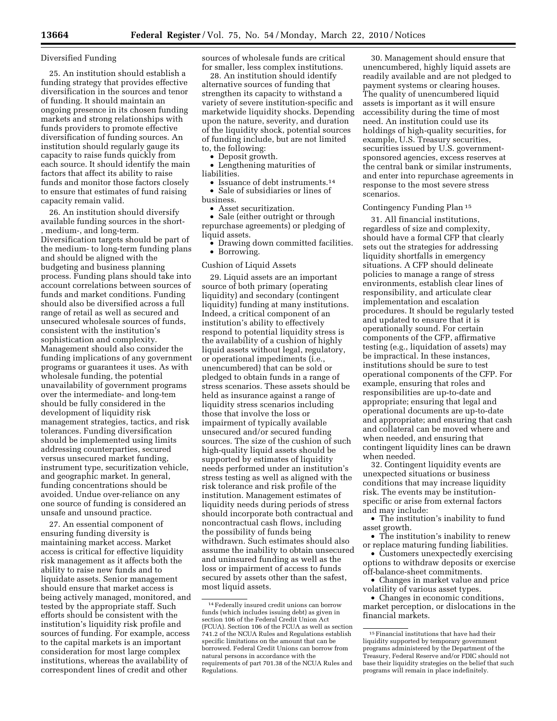### Diversified Funding

25. An institution should establish a funding strategy that provides effective diversification in the sources and tenor of funding. It should maintain an ongoing presence in its chosen funding markets and strong relationships with funds providers to promote effective diversification of funding sources. An institution should regularly gauge its capacity to raise funds quickly from each source. It should identify the main factors that affect its ability to raise funds and monitor those factors closely to ensure that estimates of fund raising capacity remain valid.

26. An institution should diversify available funding sources in the short- , medium-, and long-term. Diversification targets should be part of the medium- to long-term funding plans and should be aligned with the budgeting and business planning process. Funding plans should take into account correlations between sources of funds and market conditions. Funding should also be diversified across a full range of retail as well as secured and unsecured wholesale sources of funds, consistent with the institution's sophistication and complexity. Management should also consider the funding implications of any government programs or guarantees it uses. As with wholesale funding, the potential unavailability of government programs over the intermediate- and long-tem should be fully considered in the development of liquidity risk management strategies, tactics, and risk tolerances. Funding diversification should be implemented using limits addressing counterparties, secured versus unsecured market funding, instrument type, securitization vehicle, and geographic market. In general, funding concentrations should be avoided. Undue over-reliance on any one source of funding is considered an unsafe and unsound practice.

27. An essential component of ensuring funding diversity is maintaining market access. Market access is critical for effective liquidity risk management as it affects both the ability to raise new funds and to liquidate assets. Senior management should ensure that market access is being actively managed, monitored, and tested by the appropriate staff. Such efforts should be consistent with the institution's liquidity risk profile and sources of funding. For example, access to the capital markets is an important consideration for most large complex institutions, whereas the availability of correspondent lines of credit and other

sources of wholesale funds are critical for smaller, less complex institutions.

28. An institution should identify alternative sources of funding that strengthen its capacity to withstand a variety of severe institution-specific and marketwide liquidity shocks. Depending upon the nature, severity, and duration of the liquidity shock, potential sources of funding include, but are not limited to, the following:

• Deposit growth.

• Lengthening maturities of liabilities.

• Issuance of debt instruments.<sup>14</sup> • Sale of subsidiaries or lines of

business.

• Asset securitization.

• Sale (either outright or through repurchase agreements) or pledging of liquid assets.

• Drawing down committed facilities.

• Borrowing.

# Cushion of Liquid Assets

29. Liquid assets are an important source of both primary (operating liquidity) and secondary (contingent liquidity) funding at many institutions. Indeed, a critical component of an institution's ability to effectively respond to potential liquidity stress is the availability of a cushion of highly liquid assets without legal, regulatory, or operational impediments (i.e., unencumbered) that can be sold or pledged to obtain funds in a range of stress scenarios. These assets should be held as insurance against a range of liquidity stress scenarios including those that involve the loss or impairment of typically available unsecured and/or secured funding sources. The size of the cushion of such high-quality liquid assets should be supported by estimates of liquidity needs performed under an institution's stress testing as well as aligned with the risk tolerance and risk profile of the institution. Management estimates of liquidity needs during periods of stress should incorporate both contractual and noncontractual cash flows, including the possibility of funds being withdrawn. Such estimates should also assume the inability to obtain unsecured and uninsured funding as well as the loss or impairment of access to funds secured by assets other than the safest, most liquid assets.

30. Management should ensure that unencumbered, highly liquid assets are readily available and are not pledged to payment systems or clearing houses. The quality of unencumbered liquid assets is important as it will ensure accessibility during the time of most need. An institution could use its holdings of high-quality securities, for example, U.S. Treasury securities, securities issued by U.S. governmentsponsored agencies, excess reserves at the central bank or similar instruments, and enter into repurchase agreements in response to the most severe stress scenarios.

### Contingency Funding Plan 15

31. All financial institutions, regardless of size and complexity, should have a formal CFP that clearly sets out the strategies for addressing liquidity shortfalls in emergency situations. A CFP should delineate policies to manage a range of stress environments, establish clear lines of responsibility, and articulate clear implementation and escalation procedures. It should be regularly tested and updated to ensure that it is operationally sound. For certain components of the CFP, affirmative testing (e.g., liquidation of assets) may be impractical. In these instances, institutions should be sure to test operational components of the CFP. For example, ensuring that roles and responsibilities are up-to-date and appropriate; ensuring that legal and operational documents are up-to-date and appropriate; and ensuring that cash and collateral can be moved where and when needed, and ensuring that contingent liquidity lines can be drawn when needed.

32. Contingent liquidity events are unexpected situations or business conditions that may increase liquidity risk. The events may be institutionspecific or arise from external factors and may include:

• The institution's inability to fund asset growth.

• The institution's inability to renew or replace maturing funding liabilities.

• Customers unexpectedly exercising options to withdraw deposits or exercise off-balance-sheet commitments.

• Changes in market value and price volatility of various asset types.

• Changes in economic conditions, market perception, or dislocations in the financial markets.

<sup>14</sup>Federally insured credit unions can borrow funds (which includes issuing debt) as given in section 106 of the Federal Credit Union Act (FCUA). Section 106 of the FCUA as well as section 741.2 of the NCUA Rules and Regulations establish specific limitations on the amount that can be borrowed. Federal Credit Unions can borrow from natural persons in accordance with the requirements of part 701.38 of the NCUA Rules and Regulations.

<sup>&</sup>lt;sup>15</sup> Financial institutions that have had their liquidity supported by temporary government programs administered by the Department of the Treasury, Federal Reserve and/or FDIC should not base their liquidity strategies on the belief that such programs will remain in place indefinitely.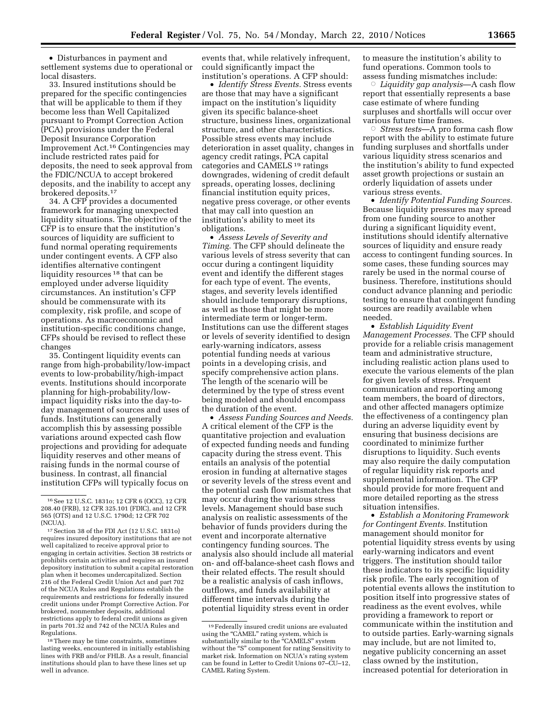• Disturbances in payment and settlement systems due to operational or local disasters.

33. Insured institutions should be prepared for the specific contingencies that will be applicable to them if they become less than Well Capitalized pursuant to Prompt Correction Action (PCA) provisions under the Federal Deposit Insurance Corporation Improvement Act.16 Contingencies may include restricted rates paid for deposits, the need to seek approval from the FDIC/NCUA to accept brokered deposits, and the inability to accept any brokered deposits.17

34. A CFP provides a documented framework for managing unexpected liquidity situations. The objective of the CFP is to ensure that the institution's sources of liquidity are sufficient to fund normal operating requirements under contingent events. A CFP also identifies alternative contingent liquidity resources 18 that can be employed under adverse liquidity circumstances. An institution's CFP should be commensurate with its complexity, risk profile, and scope of operations. As macroeconomic and institution-specific conditions change, CFPs should be revised to reflect these changes

35. Contingent liquidity events can range from high-probability/low-impact events to low-probability/high-impact events. Institutions should incorporate planning for high-probability/lowimpact liquidity risks into the day-today management of sources and uses of funds. Institutions can generally accomplish this by assessing possible variations around expected cash flow projections and providing for adequate liquidity reserves and other means of raising funds in the normal course of business. In contrast, all financial institution CFPs will typically focus on

events that, while relatively infrequent, could significantly impact the institution's operations. A CFP should:

• *Identify Stress Events.* Stress events are those that may have a significant impact on the institution's liquidity given its specific balance-sheet structure, business lines, organizational structure, and other characteristics. Possible stress events may include deterioration in asset quality, changes in agency credit ratings, PCA capital categories and CAMELS 19 ratings downgrades, widening of credit default spreads, operating losses, declining financial institution equity prices, negative press coverage, or other events that may call into question an institution's ability to meet its obligations.

• *Assess Levels of Severity and Timing.* The CFP should delineate the various levels of stress severity that can occur during a contingent liquidity event and identify the different stages for each type of event. The events, stages, and severity levels identified should include temporary disruptions, as well as those that might be more intermediate term or longer-term. Institutions can use the different stages or levels of severity identified to design early-warning indicators, assess potential funding needs at various points in a developing crisis, and specify comprehensive action plans. The length of the scenario will be determined by the type of stress event being modeled and should encompass the duration of the event.

• *Assess Funding Sources and Needs.*  A critical element of the CFP is the quantitative projection and evaluation of expected funding needs and funding capacity during the stress event. This entails an analysis of the potential erosion in funding at alternative stages or severity levels of the stress event and the potential cash flow mismatches that may occur during the various stress levels. Management should base such analysis on realistic assessments of the behavior of funds providers during the event and incorporate alternative contingency funding sources. The analysis also should include all material on- and off-balance-sheet cash flows and their related effects. The result should be a realistic analysis of cash inflows, outflows, and funds availability at different time intervals during the potential liquidity stress event in order

to measure the institution's ability to fund operations. Common tools to assess funding mismatches include:

Æ *Liquidity gap analysis*—A cash flow report that essentially represents a base case estimate of where funding surpluses and shortfalls will occur over various future time frames.

Æ *Stress tests*—A pro forma cash flow report with the ability to estimate future funding surpluses and shortfalls under various liquidity stress scenarios and the institution's ability to fund expected asset growth projections or sustain an orderly liquidation of assets under various stress events.

• *Identify Potential Funding Sources.*  Because liquidity pressures may spread from one funding source to another during a significant liquidity event, institutions should identify alternative sources of liquidity and ensure ready access to contingent funding sources. In some cases, these funding sources may rarely be used in the normal course of business. Therefore, institutions should conduct advance planning and periodic testing to ensure that contingent funding sources are readily available when needed.

• *Establish Liquidity Event Management Processes.* The CFP should provide for a reliable crisis management team and administrative structure, including realistic action plans used to execute the various elements of the plan for given levels of stress. Frequent communication and reporting among team members, the board of directors, and other affected managers optimize the effectiveness of a contingency plan during an adverse liquidity event by ensuring that business decisions are coordinated to minimize further disruptions to liquidity. Such events may also require the daily computation of regular liquidity risk reports and supplemental information. The CFP should provide for more frequent and more detailed reporting as the stress situation intensifies.

• *Establish a Monitoring Framework for Contingent Events.* Institution management should monitor for potential liquidity stress events by using early-warning indicators and event triggers. The institution should tailor these indicators to its specific liquidity risk profile. The early recognition of potential events allows the institution to position itself into progressive states of readiness as the event evolves, while providing a framework to report or communicate within the institution and to outside parties. Early-warning signals may include, but are not limited to, negative publicity concerning an asset class owned by the institution, increased potential for deterioration in

<sup>16</sup>See 12 U.S.C. 1831o; 12 CFR 6 (OCC), 12 CFR 208.40 (FRB), 12 CFR 325.101 (FDIC), and 12 CFR 565 (OTS) and 12 U.S.C. 1790d; 12 CFR 702 (NCUA).

<sup>17</sup>Section 38 of the FDI Act (12 U.S.C. 1831o) requires insured depository institutions that are not well capitalized to receive approval prior to engaging in certain activities. Section 38 restricts or prohibits certain activities and requires an insured depository institution to submit a capital restoration plan when it becomes undercapitalized. Section 216 of the Federal Credit Union Act and part 702 of the NCUA Rules and Regulations establish the requirements and restrictions for federally insured credit unions under Prompt Corrective Action. For brokered, nonmember deposits, additional restrictions apply to federal credit unions as given in parts 701.32 and 742 of the NCUA Rules and Regulations.

<sup>18</sup>There may be time constraints, sometimes lasting weeks, encountered in initially establishing lines with FRB and/or FHLB. As a result, financial institutions should plan to have these lines set up well in advance.

<sup>19</sup>Federally insured credit unions are evaluated using the "CAMEL" rating system, which is substantially similar to the "CAMELS" system without the "S" component for rating Sensitivity to market risk. Information on NCUA's rating system can be found in Letter to Credit Unions 07–CU–12, CAMEL Rating System.